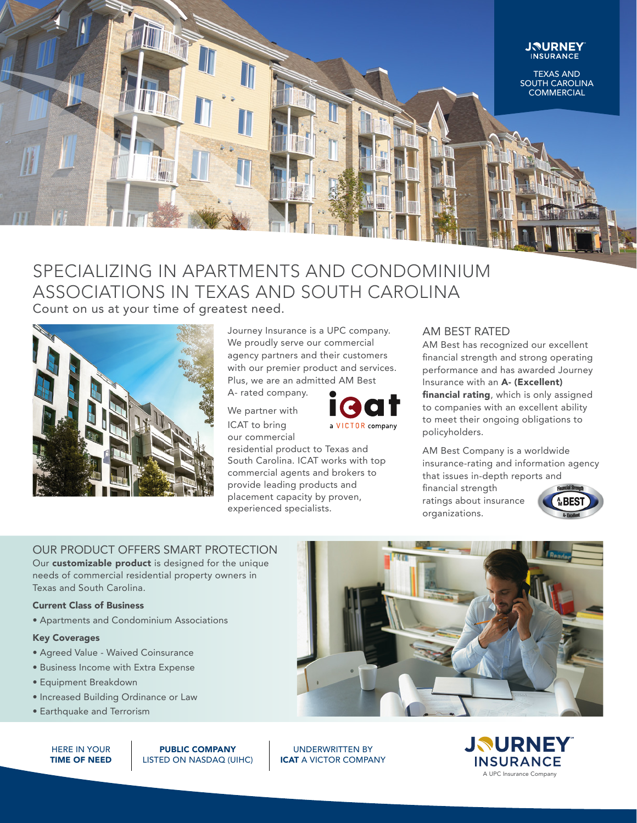

# SPECIALIZING IN APARTMENTS AND CONDOMINIUM ASSOCIATIONS IN TEXAS AND SOUTH CAROLINA

Count on us at your time of greatest need.



Journey Insurance is a UPC company. We proudly serve our commercial agency partners and their customers with our premier product and services. Plus, we are an admitted AM Best

A- rated company.

We partner with ICAT to bring our commercial



residential product to Texas and South Carolina. ICAT works with top commercial agents and brokers to provide leading products and placement capacity by proven, experienced specialists.

## AM BEST RATED

AM Best has recognized our excellent financial strength and strong operating performance and has awarded Journey Insurance with an A- (Excellent) financial rating, which is only assigned to companies with an excellent ability to meet their ongoing obligations to policyholders.

AM Best Company is a worldwide insurance-rating and information agency that issues in-depth reports and

financial strength ratings about insurance organizations.



# OUR PRODUCT OFFERS SMART PROTECTION

Our **customizable product** is designed for the unique needs of commercial residential property owners in Texas and South Carolina.

## Current Class of Business

• Apartments and Condominium Associations

### Key Coverages

- Agreed Value Waived Coinsurance
- Business Income with Extra Expense
- Equipment Breakdown
- Increased Building Ordinance or Law
- Earthquake and Terrorism

HERE IN YOUR TIME OF NEED

PUBLIC COMPANY LISTED ON NASDAQ (UIHC)



UNDERWRITTEN BY ICAT A VICTOR COMPANY